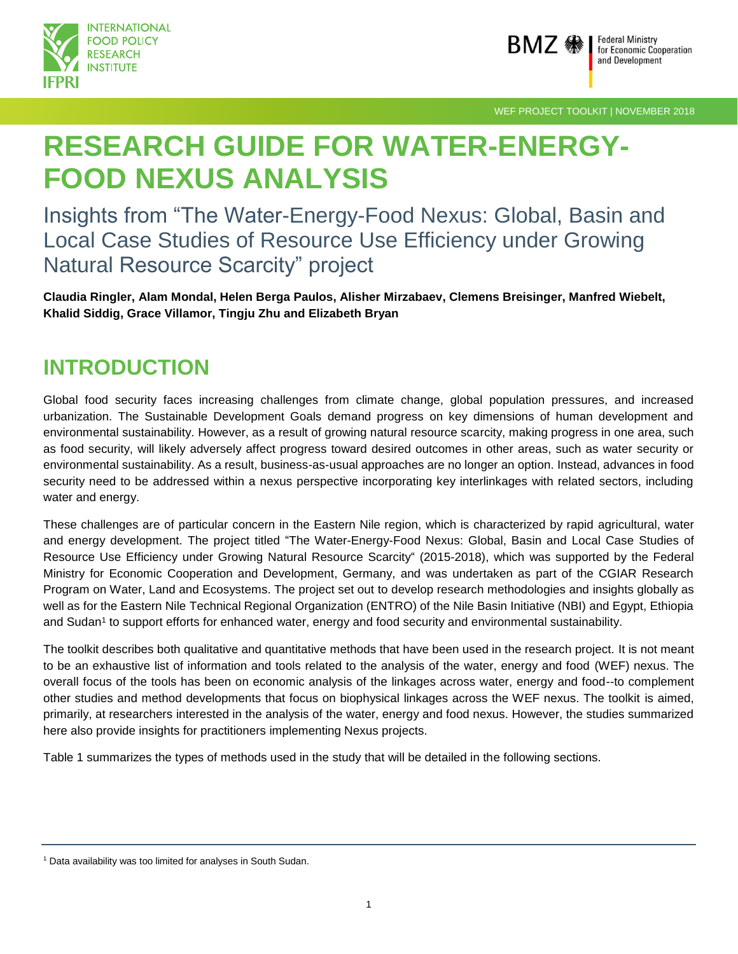



WEF PROJECT TOOLKIT | NOVEMBER 2018

# **RESEARCH GUIDE FOR WATER-ENERGY-FOOD NEXUS ANALYSIS**

Insights from "The Water-Energy-Food Nexus: Global, Basin and Local Case Studies of Resource Use Efficiency under Growing Natural Resource Scarcity" project

**Claudia Ringler, Alam Mondal, Helen Berga Paulos, Alisher Mirzabaev, Clemens Breisinger, Manfred Wiebelt, Khalid Siddig, Grace Villamor, Tingju Zhu and Elizabeth Bryan**

# **INTRODUCTION**

Global food security faces increasing challenges from climate change, global population pressures, and increased urbanization. The Sustainable Development Goals demand progress on key dimensions of human development and environmental sustainability. However, as a result of growing natural resource scarcity, making progress in one area, such as food security, will likely adversely affect progress toward desired outcomes in other areas, such as water security or environmental sustainability. As a result, business-as-usual approaches are no longer an option. Instead, advances in food security need to be addressed within a nexus perspective incorporating key interlinkages with related sectors, including water and energy.

These challenges are of particular concern in the Eastern Nile region, which is characterized by rapid agricultural, water and energy development. The project titled "The Water-Energy-Food Nexus: Global, Basin and Local Case Studies of Resource Use Efficiency under Growing Natural Resource Scarcity" (2015-2018), which was supported by the Federal Ministry for Economic Cooperation and Development, Germany, and was undertaken as part of the CGIAR Research Program on Water, Land and Ecosystems. The project set out to develop research methodologies and insights globally as well as for the Eastern Nile Technical Regional Organization (ENTRO) of the Nile Basin Initiative (NBI) and Egypt, Ethiopia and Sudan<sup>1</sup> to support efforts for enhanced water, energy and food security and environmental sustainability.

The toolkit describes both qualitative and quantitative methods that have been used in the research project. It is not meant to be an exhaustive list of information and tools related to the analysis of the water, energy and food (WEF) nexus. The overall focus of the tools has been on economic analysis of the linkages across water, energy and food--to complement other studies and method developments that focus on biophysical linkages across the WEF nexus. The toolkit is aimed, primarily, at researchers interested in the analysis of the water, energy and food nexus. However, the studies summarized here also provide insights for practitioners implementing Nexus projects.

Table 1 summarizes the types of methods used in the study that will be detailed in the following sections.

<sup>&</sup>lt;sup>1</sup> Data availability was too limited for analyses in South Sudan.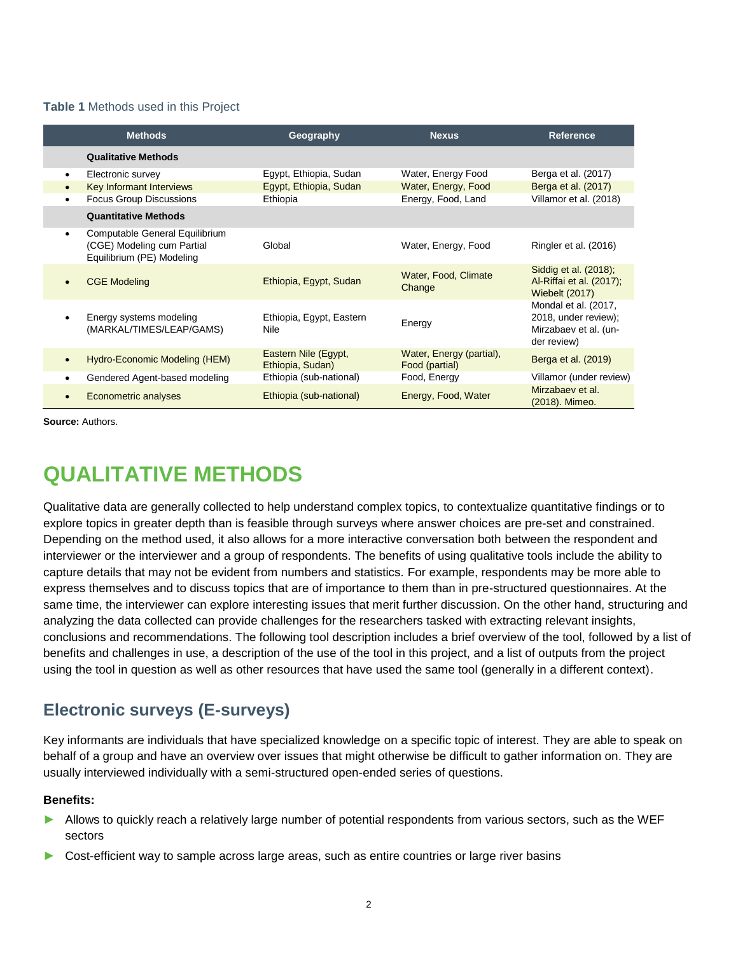### **Table 1** Methods used in this Project

|           | <b>Methods</b>                                                                            | Geography                                | <b>Nexus</b>                               | <b>Reference</b>                                                                     |
|-----------|-------------------------------------------------------------------------------------------|------------------------------------------|--------------------------------------------|--------------------------------------------------------------------------------------|
|           | <b>Qualitative Methods</b>                                                                |                                          |                                            |                                                                                      |
| $\bullet$ | Electronic survey                                                                         | Egypt, Ethiopia, Sudan                   | Water, Energy Food                         | Berga et al. (2017)                                                                  |
|           | Key Informant Interviews                                                                  | Egypt, Ethiopia, Sudan                   | Water, Energy, Food                        | Berga et al. (2017)                                                                  |
|           | <b>Focus Group Discussions</b>                                                            | Ethiopia                                 | Energy, Food, Land                         | Villamor et al. (2018)                                                               |
|           | <b>Quantitative Methods</b>                                                               |                                          |                                            |                                                                                      |
| $\bullet$ | Computable General Equilibrium<br>(CGE) Modeling cum Partial<br>Equilibrium (PE) Modeling | Global                                   | Water, Energy, Food                        | Ringler et al. (2016)                                                                |
|           | <b>CGE Modeling</b>                                                                       | Ethiopia, Egypt, Sudan                   | Water, Food, Climate<br>Change             | Siddig et al. (2018);<br>Al-Riffai et al. (2017);<br><b>Wiebelt (2017)</b>           |
|           | Energy systems modeling<br>(MARKAL/TIMES/LEAP/GAMS)                                       | Ethiopia, Egypt, Eastern<br>Nile         | Energy                                     | Mondal et al. (2017,<br>2018, under review);<br>Mirzabaev et al. (un-<br>der review) |
|           | Hydro-Economic Modeling (HEM)                                                             | Eastern Nile (Egypt,<br>Ethiopia, Sudan) | Water, Energy (partial),<br>Food (partial) | Berga et al. (2019)                                                                  |
|           | Gendered Agent-based modeling                                                             | Ethiopia (sub-national)                  | Food, Energy                               | Villamor (under review)                                                              |
|           | Econometric analyses                                                                      | Ethiopia (sub-national)                  | Energy, Food, Water                        | Mirzabaev et al.<br>(2018). Mimeo.                                                   |

**Source:** Authors.

# **QUALITATIVE METHODS**

Qualitative data are generally collected to help understand complex topics, to contextualize quantitative findings or to explore topics in greater depth than is feasible through surveys where answer choices are pre-set and constrained. Depending on the method used, it also allows for a more interactive conversation both between the respondent and interviewer or the interviewer and a group of respondents. The benefits of using qualitative tools include the ability to capture details that may not be evident from numbers and statistics. For example, respondents may be more able to express themselves and to discuss topics that are of importance to them than in pre-structured questionnaires. At the same time, the interviewer can explore interesting issues that merit further discussion. On the other hand, structuring and analyzing the data collected can provide challenges for the researchers tasked with extracting relevant insights, conclusions and recommendations. The following tool description includes a brief overview of the tool, followed by a list of benefits and challenges in use, a description of the use of the tool in this project, and a list of outputs from the project using the tool in question as well as other resources that have used the same tool (generally in a different context).

# **Electronic surveys (E-surveys)**

Key informants are individuals that have specialized knowledge on a specific topic of interest. They are able to speak on behalf of a group and have an overview over issues that might otherwise be difficult to gather information on. They are usually interviewed individually with a semi-structured open-ended series of questions.

## **Benefits:**

- ► Allows to quickly reach a relatively large number of potential respondents from various sectors, such as the WEF sectors
- ► Cost-efficient way to sample across large areas, such as entire countries or large river basins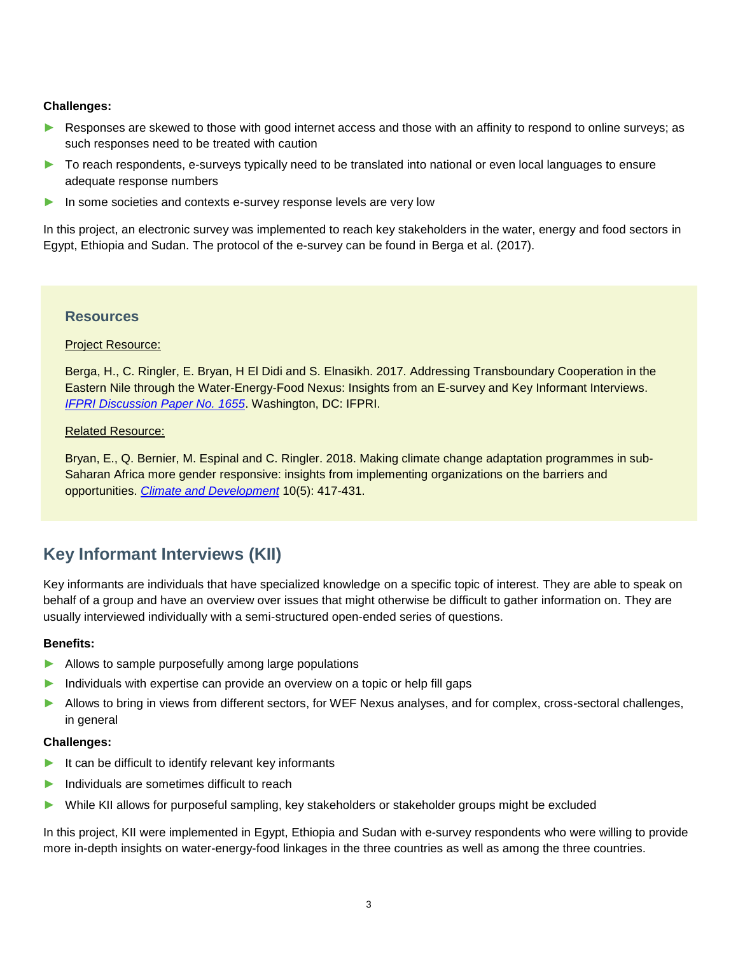# **Challenges:**

- ► Responses are skewed to those with good internet access and those with an affinity to respond to online surveys; as such responses need to be treated with caution
- ► To reach respondents, e-surveys typically need to be translated into national or even local languages to ensure adequate response numbers
- ► In some societies and contexts e-survey response levels are very low

In this project, an electronic survey was implemented to reach key stakeholders in the water, energy and food sectors in Egypt, Ethiopia and Sudan. The protocol of the e-survey can be found in Berga et al. (2017).

# **Resources**

## Project Resource:

Berga, H., C. Ringler, E. Bryan, H El Didi and S. Elnasikh. 2017. Addressing Transboundary Cooperation in the Eastern Nile through the Water-Energy-Food Nexus: Insights from an E-survey and Key Informant Interviews. *[IFPRI Discussion Paper No. 1655](http://ebrary.ifpri.org/cdm/ref/collection/p15738coll2/id/131342)*. Washington, DC: IFPRI.

## Related Resource:

Bryan, E., Q. Bernier, M. Espinal and C. Ringler. 2018. Making climate change adaptation programmes in sub-Saharan Africa more gender responsive: insights from implementing organizations on the barriers and opportunities. *[Climate and Development](http://dx.doi.org/10.1080/17565529.2017.1301870)* 10(5): 417-431.

# **Key Informant Interviews (KII)**

Key informants are individuals that have specialized knowledge on a specific topic of interest. They are able to speak on behalf of a group and have an overview over issues that might otherwise be difficult to gather information on. They are usually interviewed individually with a semi-structured open-ended series of questions.

## **Benefits:**

- ► Allows to sample purposefully among large populations
- ► Individuals with expertise can provide an overview on a topic or help fill gaps
- ► Allows to bring in views from different sectors, for WEF Nexus analyses, and for complex, cross-sectoral challenges, in general

#### **Challenges:**

- ► It can be difficult to identify relevant key informants
- ► Individuals are sometimes difficult to reach
- ► While KII allows for purposeful sampling, key stakeholders or stakeholder groups might be excluded

In this project, KII were implemented in Egypt, Ethiopia and Sudan with e-survey respondents who were willing to provide more in-depth insights on water-energy-food linkages in the three countries as well as among the three countries.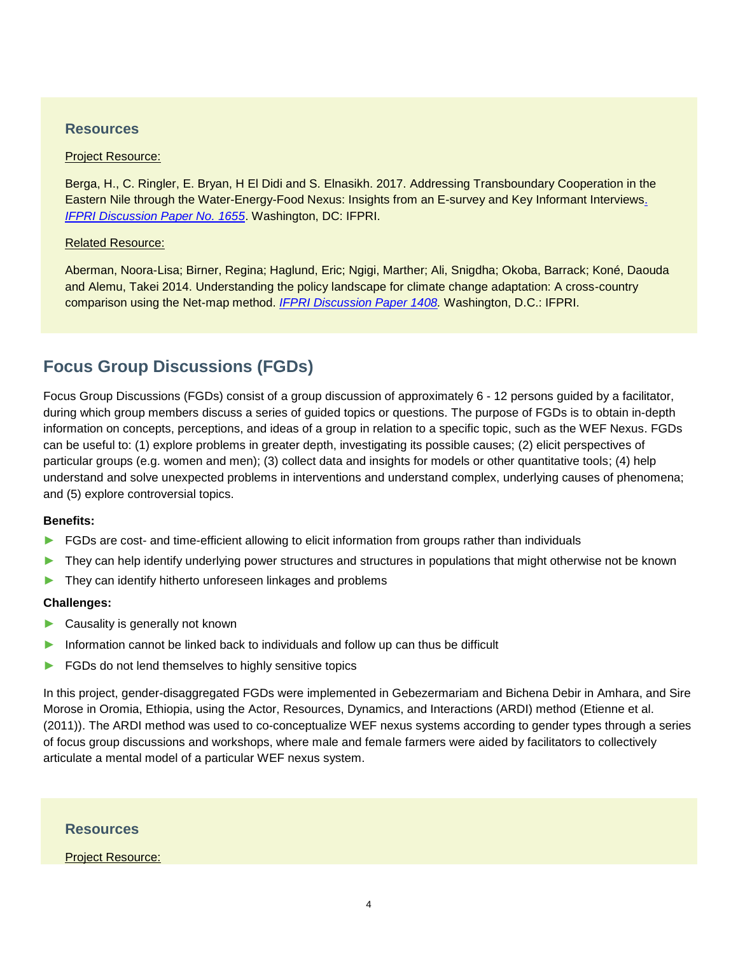# **Resources**

#### Project Resource:

Berga, H., C. Ringler, E. Bryan, H El Didi and S. Elnasikh. 2017. Addressing Transboundary Cooperation in the Eastern Nile through the Water-Energy-Food Nexus: Insights from an E-survey and Key Informant Interview[s.](http://ebrary.ifpri.org/cdm/ref/collection/p15738coll2/id/131342)  *[IFPRI Discussion Paper No. 1655](http://ebrary.ifpri.org/cdm/ref/collection/p15738coll2/id/131342)*. Washington, DC: IFPRI.

#### Related Resource:

Aberman, Noora-Lisa; Birner, Regina; Haglund, Eric; Ngigi, Marther; Ali, Snigdha; Okoba, Barrack; Koné, Daouda and Alemu, Takei 2014. Understanding the policy landscape for climate change adaptation: A cross-country comparison using the Net-map method. *[IFPRI Discussion Paper 1408.](http://ebrary.ifpri.org/cdm/ref/collection/p15738coll2/id/128928C.)* Washington, D.C.: IFPRI.

# **Focus Group Discussions (FGDs)**

Focus Group Discussions (FGDs) consist of a group discussion of approximately 6 - 12 persons guided by a facilitator, during which group members discuss a series of guided topics or questions. The purpose of FGDs is to obtain in-depth information on concepts, perceptions, and ideas of a group in relation to a specific topic, such as the WEF Nexus. FGDs can be useful to: (1) explore problems in greater depth, investigating its possible causes; (2) elicit perspectives of particular groups (e.g. women and men); (3) collect data and insights for models or other quantitative tools; (4) help understand and solve unexpected problems in interventions and understand complex, underlying causes of phenomena; and (5) explore controversial topics.

#### **Benefits:**

- ► FGDs are cost- and time-efficient allowing to elicit information from groups rather than individuals
- ► They can help identify underlying power structures and structures in populations that might otherwise not be known
- ► They can identify hitherto unforeseen linkages and problems

#### **Challenges:**

- ► Causality is generally not known
- Information cannot be linked back to individuals and follow up can thus be difficult
- ► FGDs do not lend themselves to highly sensitive topics

In this project, gender-disaggregated FGDs were implemented in Gebezermariam and Bichena Debir in Amhara, and Sire Morose in Oromia, Ethiopia, using the Actor, Resources, Dynamics, and Interactions (ARDI) method (Etienne et al. (2011)). The ARDI method was used to co-conceptualize WEF nexus systems according to gender types through a series of focus group discussions and workshops, where male and female farmers were aided by facilitators to collectively articulate a mental model of a particular WEF nexus system.

### **Resources**

#### Project Resource: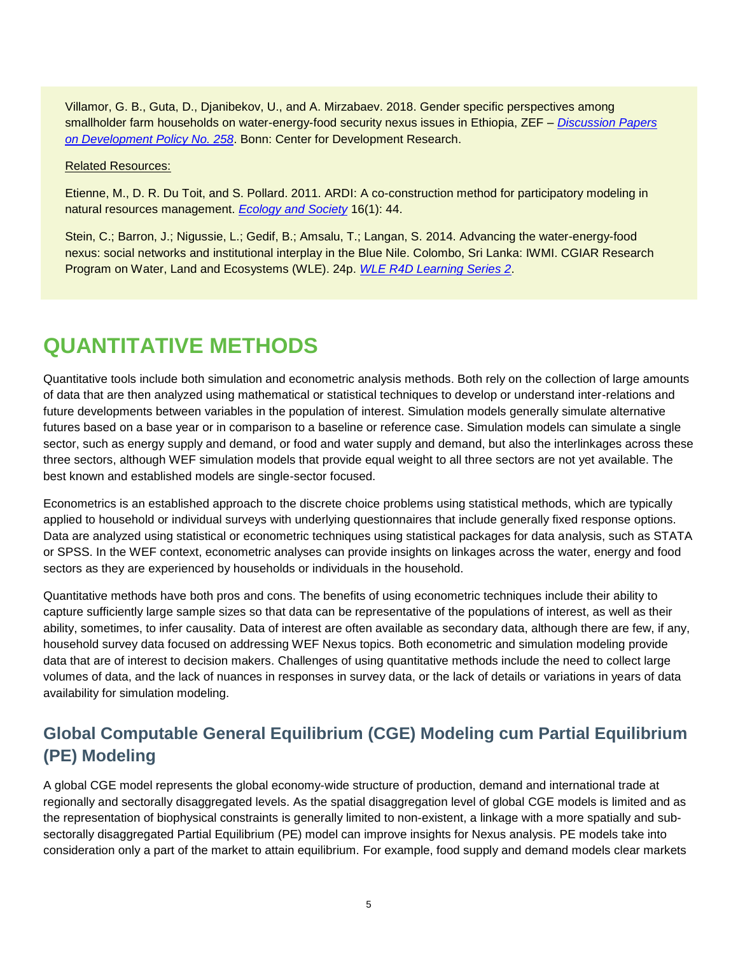Villamor, G. B., Guta, D., Djanibekov, U., and A. Mirzabaev. 2018. Gender specific perspectives among smallholder farm households on water-energy-food security nexus issues in Ethiopia, ZEF – *[Discussion Papers](https://www.zef.de/uploads/tx_zefportal/Publications/zef_dp_258.pdf)  [on Development Policy No. 258](https://www.zef.de/uploads/tx_zefportal/Publications/zef_dp_258.pdf)*. Bonn: Center for Development Research.

#### Related Resources:

Etienne, M., D. R. Du Toit, and S. Pollard. 2011. ARDI: A co-construction method for participatory modeling in natural resources management. *[Ecology and Society](https://www.ecologyandsociety.org/vol16/iss1/art44/)* 16(1): 44.

Stein, C.; Barron, J.; Nigussie, L.; Gedif, B.; Amsalu, T.; Langan, S. 2014. Advancing the water-energy-food nexus: social networks and institutional interplay in the Blue Nile. Colombo, Sri Lanka: IWMI. CGIAR Research Program on Water, Land and Ecosystems (WLE). 24p. *[WLE R4D Learning Series 2](http://www.iwmi.cgiar.org/Publications/wle/r4d/wle_research_for_development-learning_series-2.pdf)*.

# **QUANTITATIVE METHODS**

Quantitative tools include both simulation and econometric analysis methods. Both rely on the collection of large amounts of data that are then analyzed using mathematical or statistical techniques to develop or understand inter-relations and future developments between variables in the population of interest. Simulation models generally simulate alternative futures based on a base year or in comparison to a baseline or reference case. Simulation models can simulate a single sector, such as energy supply and demand, or food and water supply and demand, but also the interlinkages across these three sectors, although WEF simulation models that provide equal weight to all three sectors are not yet available. The best known and established models are single-sector focused.

Econometrics is an established approach to the discrete choice problems using statistical methods, which are typically applied to household or individual surveys with underlying questionnaires that include generally fixed response options. Data are analyzed using statistical or econometric techniques using statistical packages for data analysis, such as STATA or SPSS. In the WEF context, econometric analyses can provide insights on linkages across the water, energy and food sectors as they are experienced by households or individuals in the household.

Quantitative methods have both pros and cons. The benefits of using econometric techniques include their ability to capture sufficiently large sample sizes so that data can be representative of the populations of interest, as well as their ability, sometimes, to infer causality. Data of interest are often available as secondary data, although there are few, if any, household survey data focused on addressing WEF Nexus topics. Both econometric and simulation modeling provide data that are of interest to decision makers. Challenges of using quantitative methods include the need to collect large volumes of data, and the lack of nuances in responses in survey data, or the lack of details or variations in years of data availability for simulation modeling.

# **Global Computable General Equilibrium (CGE) Modeling cum Partial Equilibrium (PE) Modeling**

A global CGE model represents the global economy-wide structure of production, demand and international trade at regionally and sectorally disaggregated levels. As the spatial disaggregation level of global CGE models is limited and as the representation of biophysical constraints is generally limited to non-existent, a linkage with a more spatially and subsectorally disaggregated Partial Equilibrium (PE) model can improve insights for Nexus analysis. PE models take into consideration only a part of the market to attain equilibrium. For example, food supply and demand models clear markets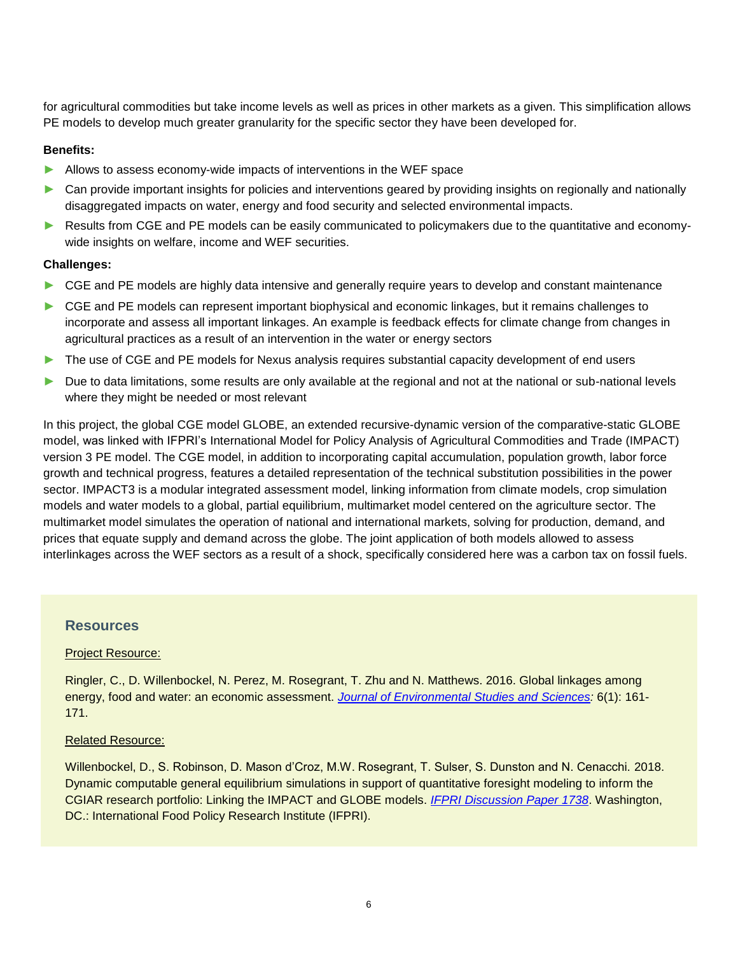for agricultural commodities but take income levels as well as prices in other markets as a given. This simplification allows PE models to develop much greater granularity for the specific sector they have been developed for.

### **Benefits:**

- ► Allows to assess economy-wide impacts of interventions in the WEF space
- ► Can provide important insights for policies and interventions geared by providing insights on regionally and nationally disaggregated impacts on water, energy and food security and selected environmental impacts.
- ► Results from CGE and PE models can be easily communicated to policymakers due to the quantitative and economywide insights on welfare, income and WEF securities.

### **Challenges:**

- ► CGE and PE models are highly data intensive and generally require years to develop and constant maintenance
- ► CGE and PE models can represent important biophysical and economic linkages, but it remains challenges to incorporate and assess all important linkages. An example is feedback effects for climate change from changes in agricultural practices as a result of an intervention in the water or energy sectors
- ► The use of CGE and PE models for Nexus analysis requires substantial capacity development of end users
- ► Due to data limitations, some results are only available at the regional and not at the national or sub-national levels where they might be needed or most relevant

In this project, the global CGE model GLOBE, an extended recursive-dynamic version of the comparative-static GLOBE model, was linked with IFPRI's International Model for Policy Analysis of Agricultural Commodities and Trade (IMPACT) version 3 PE model. The CGE model, in addition to incorporating capital accumulation, population growth, labor force growth and technical progress, features a detailed representation of the technical substitution possibilities in the power sector. IMPACT3 is a modular integrated assessment model, linking information from climate models, crop simulation models and water models to a global, partial equilibrium, multimarket model centered on the agriculture sector. The multimarket model simulates the operation of national and international markets, solving for production, demand, and prices that equate supply and demand across the globe. The joint application of both models allowed to assess interlinkages across the WEF sectors as a result of a shock, specifically considered here was a carbon tax on fossil fuels.

## **Resources**

#### Project Resource:

Ringler, C., D. Willenbockel, N. Perez, M. Rosegrant, T. Zhu and N. Matthews. 2016. Global linkages among energy, food and water: an economic assessment. *[Journal of Environmental Studies and Sciences:](https://link.springer.com/article/10.1007/s13412-016-0386-5)* 6(1): 161- 171.

#### Related Resource:

Willenbockel, D., S. Robinson, D. Mason d'Croz, M.W. Rosegrant, T. Sulser, S. Dunston and N. Cenacchi. 2018. Dynamic computable general equilibrium simulations in support of quantitative foresight modeling to inform the CGIAR research portfolio: Linking the IMPACT and GLOBE models. *[IFPRI Discussion Paper 1738](http://www.ifpri.org/publication/dynamic-computable-general-equilibrium-simulations-support-quantitative-foresight)*. Washington, DC.: International Food Policy Research Institute (IFPRI).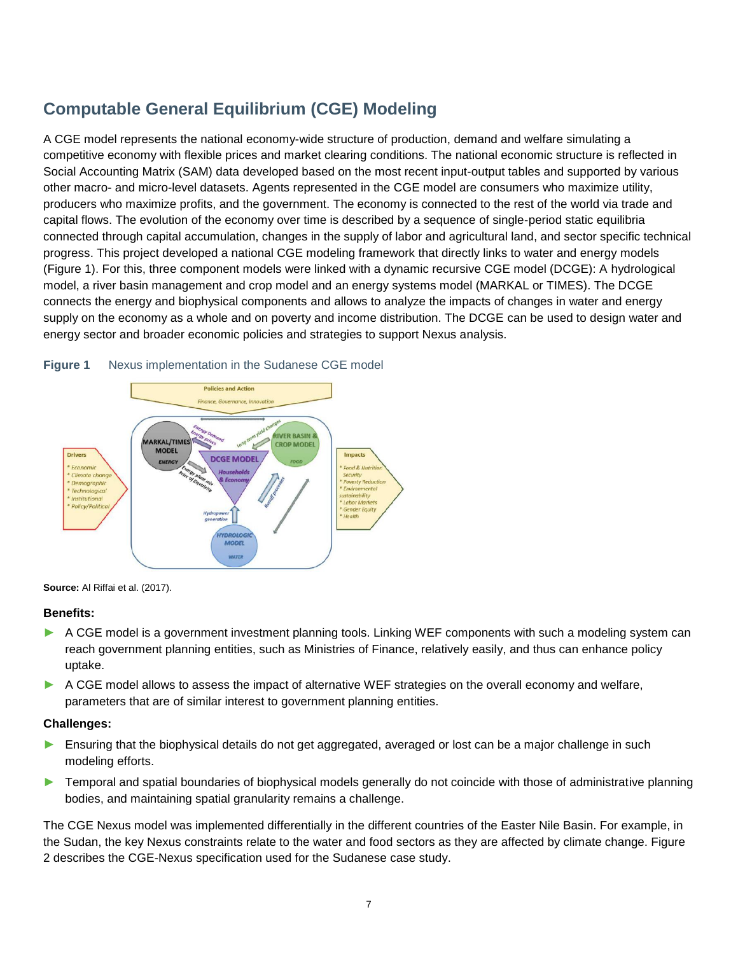# **Computable General Equilibrium (CGE) Modeling**

A CGE model represents the national economy-wide structure of production, demand and welfare simulating a competitive economy with flexible prices and market clearing conditions. The national economic structure is reflected in Social Accounting Matrix (SAM) data developed based on the most recent input-output tables and supported by various other macro- and micro-level datasets. Agents represented in the CGE model are consumers who maximize utility, producers who maximize profits, and the government. The economy is connected to the rest of the world via trade and capital flows. The evolution of the economy over time is described by a sequence of single-period static equilibria connected through capital accumulation, changes in the supply of labor and agricultural land, and sector specific technical progress. This project developed a national CGE modeling framework that directly links to water and energy models (Figure 1). For this, three component models were linked with a dynamic recursive CGE model (DCGE): A hydrological model, a river basin management and crop model and an energy systems model (MARKAL or TIMES). The DCGE connects the energy and biophysical components and allows to analyze the impacts of changes in water and energy supply on the economy as a whole and on poverty and income distribution. The DCGE can be used to design water and energy sector and broader economic policies and strategies to support Nexus analysis.



#### **Figure 1** Nexus implementation in the Sudanese CGE model

**Source:** Al Riffai et al. (2017).

#### **Benefits:**

- A CGE model is a government investment planning tools. Linking WEF components with such a modeling system can reach government planning entities, such as Ministries of Finance, relatively easily, and thus can enhance policy uptake.
- ► A CGE model allows to assess the impact of alternative WEF strategies on the overall economy and welfare, parameters that are of similar interest to government planning entities.

## **Challenges:**

- ► Ensuring that the biophysical details do not get aggregated, averaged or lost can be a major challenge in such modeling efforts.
- ► Temporal and spatial boundaries of biophysical models generally do not coincide with those of administrative planning bodies, and maintaining spatial granularity remains a challenge.

The CGE Nexus model was implemented differentially in the different countries of the Easter Nile Basin. For example, in the Sudan, the key Nexus constraints relate to the water and food sectors as they are affected by climate change. Figure 2 describes the CGE-Nexus specification used for the Sudanese case study.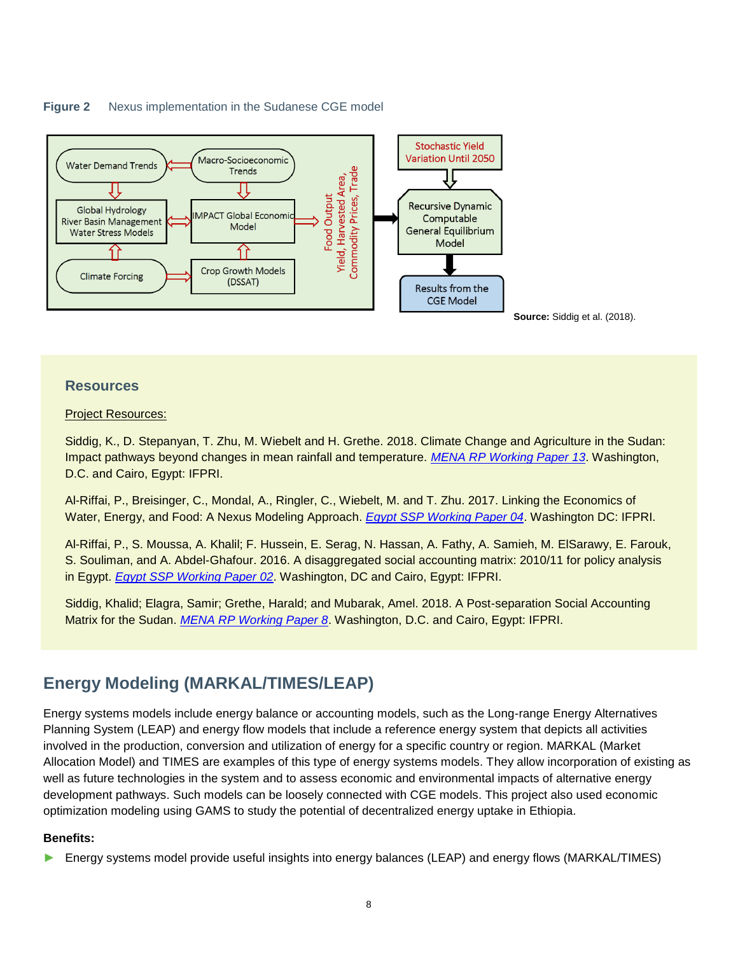



# **Resources**

### Project Resources:

Siddig, K., D. Stepanyan, T. Zhu, M. Wiebelt and H. Grethe. 2018. Climate Change and Agriculture in the Sudan: Impact pathways beyond changes in mean rainfall and temperature. *[MENA RP Working Paper 13](http://ebrary.ifpri.org/cdm/ref/collection/p15738coll2/id/132833)*. Washington, D.C. and Cairo, Egypt: IFPRI.

Al-Riffai, P., Breisinger, C., Mondal, A., Ringler, C., Wiebelt, M. and T. Zhu. 2017. Linking the Economics of Water, Energy, and Food: A Nexus Modeling Approach. *[Egypt SSP Working Paper 04](https://www.ifw-members.ifw-kiel.de/reference_catalog/lookupObject?uuid=86adac875ea818361e3173459ce375c4)*. Washington DC: IFPRI.

Al-Riffai, P., S. Moussa, A. Khalil; F. Hussein, E. Serag, N. Hassan, A. Fathy, A. Samieh, M. ElSarawy, E. Farouk, S. Souliman, and A. Abdel-Ghafour. 2016. A disaggregated social accounting matrix: 2010/11 for policy analysis in Egypt. *[Egypt SSP Working Paper 02](http://ebrary.ifpri.org/cdm/ref/collection/p15738coll2/id/130736)*. Washington, DC and Cairo, Egypt: IFPRI.

Siddig, Khalid; Elagra, Samir; Grethe, Harald; and Mubarak, Amel. 2018. A Post-separation Social Accounting Matrix for the Sudan. *[MENA RP Working Paper 8](http://ebrary.ifpri.org/cdm/ref/collection/p15738coll2/id/130736)*. Washington, D.C. and Cairo, Egypt: IFPRI.

# **Energy Modeling (MARKAL/TIMES/LEAP)**

Energy systems models include energy balance or accounting models, such as the Long-range Energy Alternatives Planning System (LEAP) and energy flow models that include a reference energy system that depicts all activities involved in the production, conversion and utilization of energy for a specific country or region. MARKAL (Market Allocation Model) and TIMES are examples of this type of energy systems models. They allow incorporation of existing as well as future technologies in the system and to assess economic and environmental impacts of alternative energy development pathways. Such models can be loosely connected with CGE models. This project also used economic optimization modeling using GAMS to study the potential of decentralized energy uptake in Ethiopia.

## **Benefits:**

► Energy systems model provide useful insights into energy balances (LEAP) and energy flows (MARKAL/TIMES)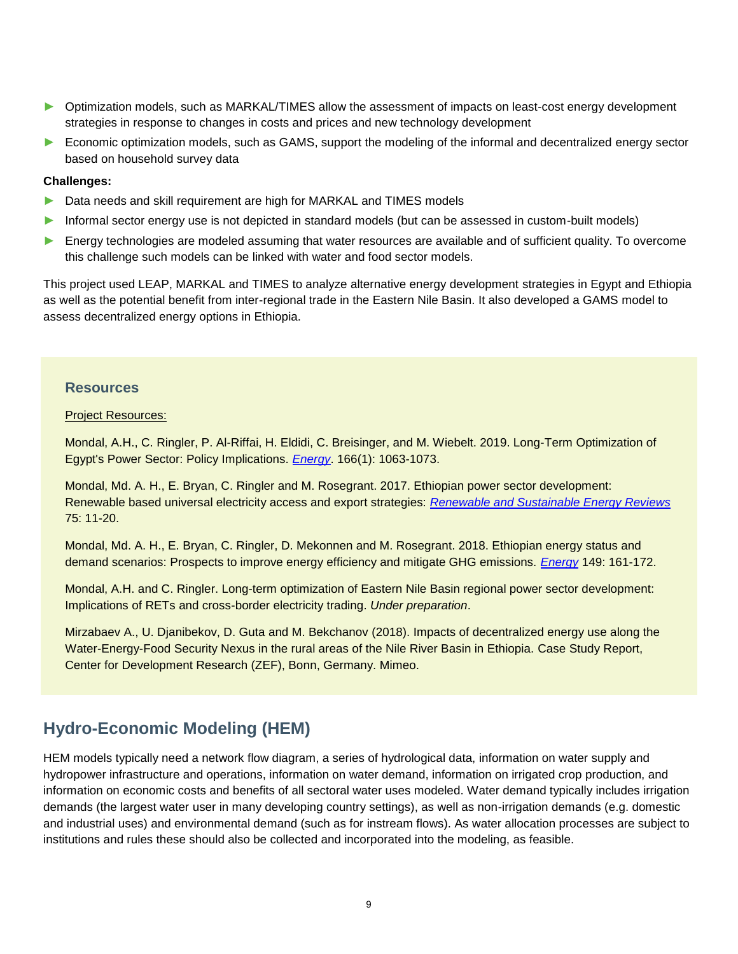- ► Optimization models, such as MARKAL/TIMES allow the assessment of impacts on least-cost energy development strategies in response to changes in costs and prices and new technology development
- ► Economic optimization models, such as GAMS, support the modeling of the informal and decentralized energy sector based on household survey data

#### **Challenges:**

- ▶ Data needs and skill requirement are high for MARKAL and TIMES models
- ► Informal sector energy use is not depicted in standard models (but can be assessed in custom-built models)
- ► Energy technologies are modeled assuming that water resources are available and of sufficient quality. To overcome this challenge such models can be linked with water and food sector models.

This project used LEAP, MARKAL and TIMES to analyze alternative energy development strategies in Egypt and Ethiopia as well as the potential benefit from inter-regional trade in the Eastern Nile Basin. It also developed a GAMS model to assess decentralized energy options in Ethiopia.

# **Resources**

#### Project Resources:

Mondal, A.H., C. Ringler, P. Al-Riffai, H. Eldidi, C. Breisinger, and M. Wiebelt. 2019. Long-Term Optimization of Egypt's Power Sector: Policy Implications. *[Energy](https://doi.org/10.1016/j.energy.2018.10.158)*. 166(1): 1063-1073.

Mondal, Md. A. H., E. Bryan, C. Ringler and M. Rosegrant. 2017. Ethiopian power sector development: Renewable based universal electricity access and export strategies: *[Renewable and Sustainable Energy Reviews](http://dx.doi.org/10.1016/j.rser.2016.10.041)* 75: 11-20.

Mondal, Md. A. H., E. Bryan, C. Ringler, D. Mekonnen and M. Rosegrant. 2018. Ethiopian energy status and demand scenarios: Prospects to improve energy efficiency and mitigate GHG emissions. *[Energy](https://www.sciencedirect.com/science/article/pii/S0360544218302950?via%3Dihub)* 149: 161-172.

Mondal, A.H. and C. Ringler. Long-term optimization of Eastern Nile Basin regional power sector development: Implications of RETs and cross-border electricity trading. *Under preparation*.

Mirzabaev A., U. Djanibekov, D. Guta and M. Bekchanov (2018). Impacts of decentralized energy use along the Water-Energy-Food Security Nexus in the rural areas of the Nile River Basin in Ethiopia. Case Study Report, Center for Development Research (ZEF), Bonn, Germany. Mimeo.

# **Hydro-Economic Modeling (HEM)**

HEM models typically need a network flow diagram, a series of hydrological data, information on water supply and hydropower infrastructure and operations, information on water demand, information on irrigated crop production, and information on economic costs and benefits of all sectoral water uses modeled. Water demand typically includes irrigation demands (the largest water user in many developing country settings), as well as non-irrigation demands (e.g. domestic and industrial uses) and environmental demand (such as for instream flows). As water allocation processes are subject to institutions and rules these should also be collected and incorporated into the modeling, as feasible.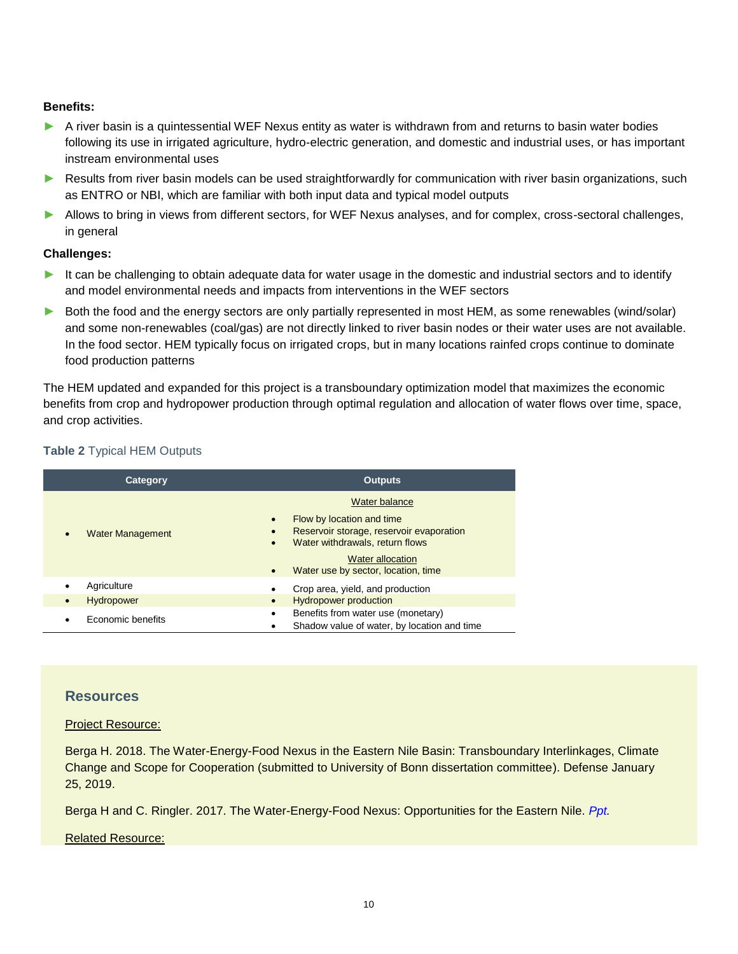## **Benefits:**

- ► A river basin is a quintessential WEF Nexus entity as water is withdrawn from and returns to basin water bodies following its use in irrigated agriculture, hydro-electric generation, and domestic and industrial uses, or has important instream environmental uses
- ► Results from river basin models can be used straightforwardly for communication with river basin organizations, such as ENTRO or NBI, which are familiar with both input data and typical model outputs
- ► Allows to bring in views from different sectors, for WEF Nexus analyses, and for complex, cross-sectoral challenges, in general

#### **Challenges:**

- ► It can be challenging to obtain adequate data for water usage in the domestic and industrial sectors and to identify and model environmental needs and impacts from interventions in the WEF sectors
- ► Both the food and the energy sectors are only partially represented in most HEM, as some renewables (wind/solar) and some non-renewables (coal/gas) are not directly linked to river basin nodes or their water uses are not available. In the food sector. HEM typically focus on irrigated crops, but in many locations rainfed crops continue to dominate food production patterns

The HEM updated and expanded for this project is a transboundary optimization model that maximizes the economic benefits from crop and hydropower production through optimal regulation and allocation of water flows over time, space, and crop activities.

# **Table 2** Typical HEM Outputs

| Category                       | <b>Outputs</b>                                                                                                                                                                                       |
|--------------------------------|------------------------------------------------------------------------------------------------------------------------------------------------------------------------------------------------------|
|                                | Water balance                                                                                                                                                                                        |
| <b>Water Management</b>        | Flow by location and time<br>Reservoir storage, reservoir evaporation<br>Water withdrawals, return flows<br>$\bullet$<br><b>Water allocation</b><br>Water use by sector, location, time<br>$\bullet$ |
| Agriculture<br>٠               | Crop area, yield, and production                                                                                                                                                                     |
| <b>Hydropower</b><br>$\bullet$ | <b>Hydropower production</b><br>$\bullet$                                                                                                                                                            |
| Economic benefits              | Benefits from water use (monetary)<br>$\bullet$<br>Shadow value of water, by location and time                                                                                                       |

# **Resources**

Project Resource:

Berga H. 2018. The Water-Energy-Food Nexus in the Eastern Nile Basin: Transboundary Interlinkages, Climate Change and Scope for Cooperation (submitted to University of Bonn dissertation committee). Defense January 25, 2019.

Berga H and C. Ringler. 2017. The Water-Energy-Food Nexus: Opportunities for the Eastern Nile. *Ppt.*

#### Related Resource: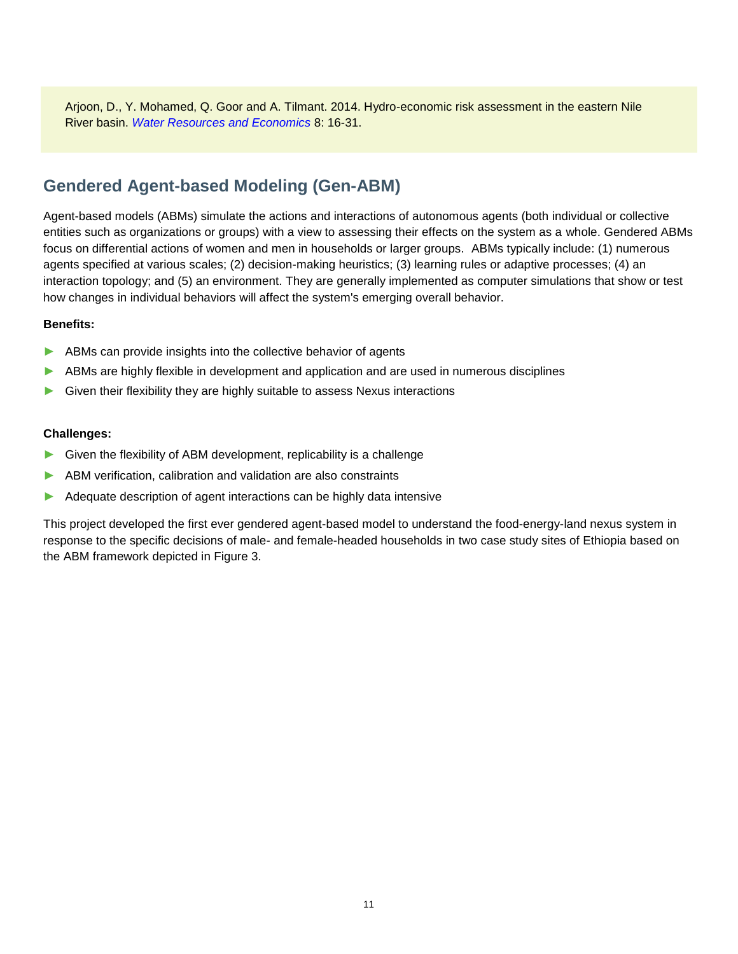Arjoon, D., Y. Mohamed, Q. Goor and A. Tilmant. 2014. Hydro-economic risk assessment in the eastern Nile River basin. *Water Resources and Economics* 8: 16-31.

# **Gendered Agent-based Modeling (Gen-ABM)**

Agent-based models (ABMs) simulate the actions and interactions of autonomous agents (both individual or collective entities such as organizations or groups) with a view to assessing their effects on the system as a whole. Gendered ABMs focus on differential actions of women and men in households or larger groups. ABMs typically include: (1) numerous agents specified at various scales; (2) decision-making heuristics; (3) learning rules or adaptive processes; (4) an interaction topology; and (5) an environment. They are generally implemented as computer simulations that show or test how changes in individual behaviors will affect the system's emerging overall behavior.

## **Benefits:**

- ▶ ABMs can provide insights into the collective behavior of agents
- ► ABMs are highly flexible in development and application and are used in numerous disciplines
- ► Given their flexibility they are highly suitable to assess Nexus interactions

### **Challenges:**

- ► Given the flexibility of ABM development, replicability is a challenge
- ▶ ABM verification, calibration and validation are also constraints
- ▶ Adequate description of agent interactions can be highly data intensive

This project developed the first ever gendered agent-based model to understand the food-energy-land nexus system in response to the specific decisions of male- and female-headed households in two case study sites of Ethiopia based on the ABM framework depicted in Figure 3.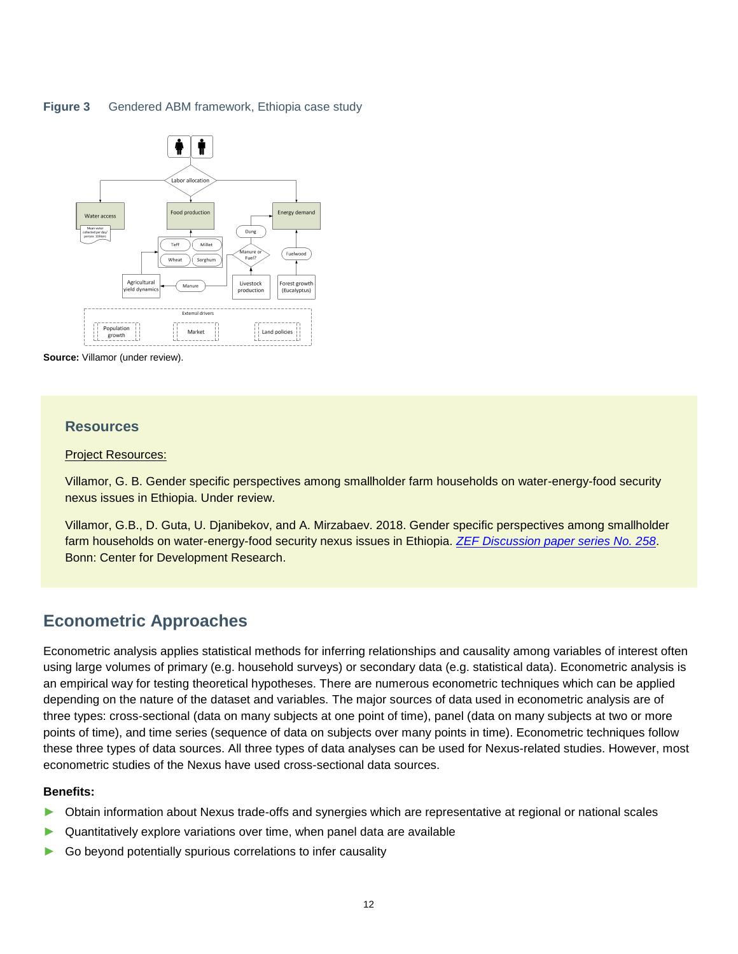## **Figure 3** Gendered ABM framework, Ethiopia case study





### **Resources**

#### Project Resources:

Villamor, G. B. Gender specific perspectives among smallholder farm households on water-energy-food security nexus issues in Ethiopia. Under review.

Villamor, G.B., D. Guta, U. Djanibekov, and A. Mirzabaev. 2018. Gender specific perspectives among smallholder farm households on water-energy-food security nexus issues in Ethiopia. *[ZEF Discussion paper series No. 258](https://www.zef.de/uploads/tx_zefportal/Publications/zef_dp_258.pdf)*. Bonn: Center for Development Research.

# **Econometric Approaches**

Econometric analysis applies statistical methods for inferring relationships and causality among variables of interest often using large volumes of primary (e.g. household surveys) or secondary data (e.g. statistical data). Econometric analysis is an empirical way for testing theoretical hypotheses. There are numerous econometric techniques which can be applied depending on the nature of the dataset and variables. The major sources of data used in econometric analysis are of three types: cross-sectional (data on many subjects at one point of time), panel (data on many subjects at two or more points of time), and time series (sequence of data on subjects over many points in time). Econometric techniques follow these three types of data sources. All three types of data analyses can be used for Nexus-related studies. However, most econometric studies of the Nexus have used cross-sectional data sources.

#### **Benefits:**

- ► Obtain information about Nexus trade-offs and synergies which are representative at regional or national scales
- ► Quantitatively explore variations over time, when panel data are available
- ► Go beyond potentially spurious correlations to infer causality